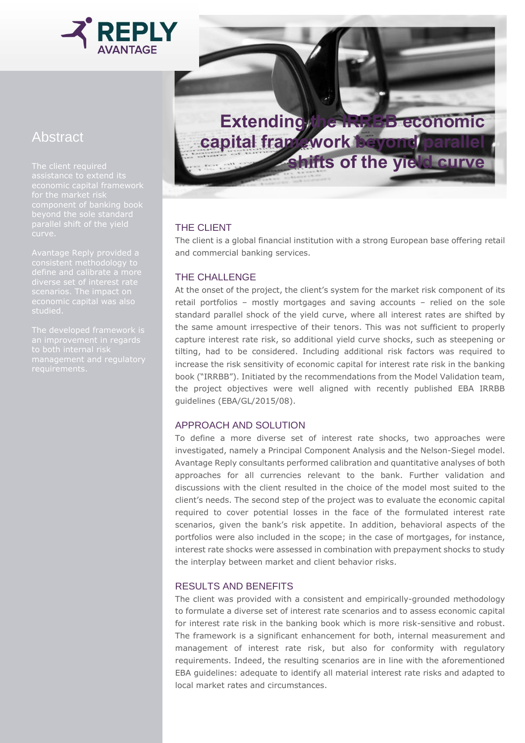

# Abstract

assistance to extend its



## THE CLIENT

The client is a global financial institution with a strong European base offering retail and commercial banking services.

## THE CHALLENGE

At the onset of the project, the client's system for the market risk component of its retail portfolios – mostly mortgages and saving accounts – relied on the sole standard parallel shock of the yield curve, where all interest rates are shifted by the same amount irrespective of their tenors. This was not sufficient to properly capture interest rate risk, so additional yield curve shocks, such as steepening or tilting, had to be considered. Including additional risk factors was required to increase the risk sensitivity of economic capital for interest rate risk in the banking book ("IRRBB"). Initiated by the recommendations from the Model Validation team, the project objectives were well aligned with recently published EBA IRRBB guidelines (EBA/GL/2015/08).

### APPROACH AND SOLUTION

To define a more diverse set of interest rate shocks, two approaches were investigated, namely a Principal Component Analysis and the Nelson-Siegel model. Avantage Reply consultants performed calibration and quantitative analyses of both approaches for all currencies relevant to the bank. Further validation and discussions with the client resulted in the choice of the model most suited to the client's needs. The second step of the project was to evaluate the economic capital required to cover potential losses in the face of the formulated interest rate scenarios, given the bank's risk appetite. In addition, behavioral aspects of the portfolios were also included in the scope; in the case of mortgages, for instance, interest rate shocks were assessed in combination with prepayment shocks to study the interplay between market and client behavior risks.

### RESULTS AND BENEFITS

The client was provided with a consistent and empirically-grounded methodology to formulate a diverse set of interest rate scenarios and to assess economic capital for interest rate risk in the banking book which is more risk-sensitive and robust. The framework is a significant enhancement for both, internal measurement and management of interest rate risk, but also for conformity with regulatory requirements. Indeed, the resulting scenarios are in line with the aforementioned EBA guidelines: adequate to identify all material interest rate risks and adapted to local market rates and circumstances.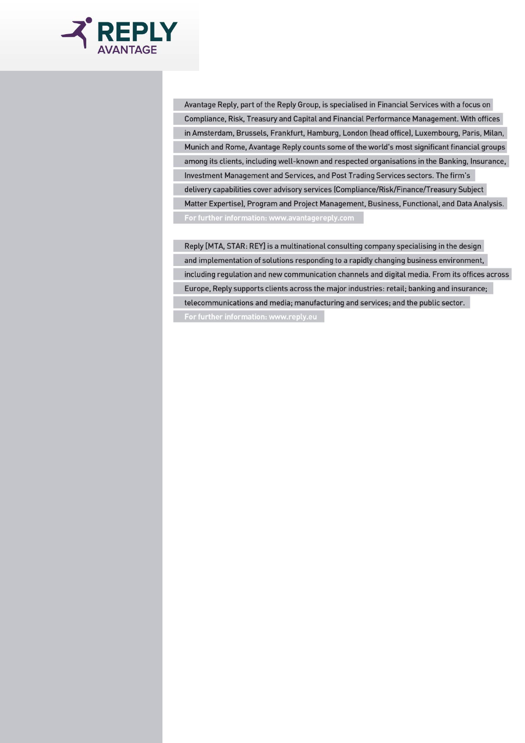

Avantage Reply, part of the Reply Group, is specialised in Financial Services with a focus on Compliance, Risk, Treasury and Capital and Financial Performance Management. With offices in Amsterdam, Brussels, Frankfurt, Hamburg, London (head office), Luxembourg, Paris, Milan, Munich and Rome, Avantage Reply counts some of the world's most significant financial groups among its clients, including well-known and respected organisations in the Banking, Insurance, Investment Management and Services, and Post Trading Services sectors. The firm's delivery capabilities cover advisory services (Compliance/Risk/Finance/Treasury Subject Matter Expertise), Program and Project Management, Business, Functional, and Data Analysis. For further information: www.avantagereply.com

Reply [MTA, STAR: REY] is a multinational consulting company specialising in the design and implementation of solutions responding to a rapidly changing business environment, including regulation and new communication channels and digital media. From its offices across Europe, Reply supports clients across the major industries: retail; banking and insurance; telecommunications and media; manufacturing and services; and the public sector.

For further information: www.reply.eu